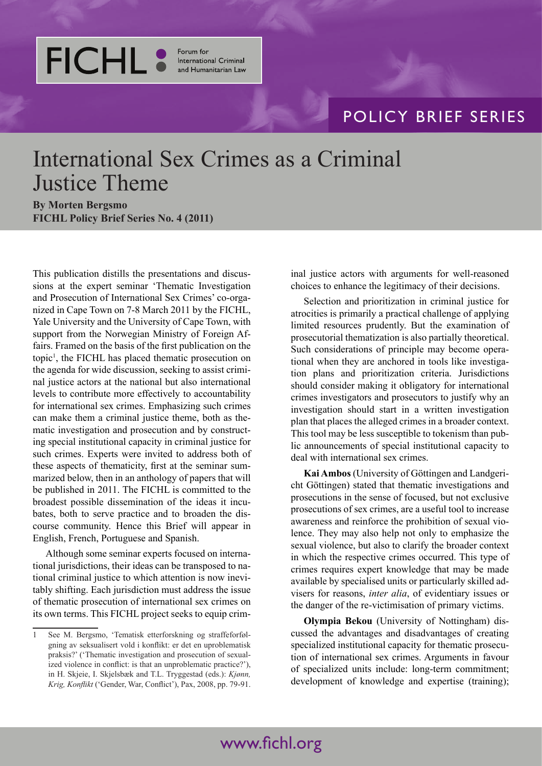

Forum for **International Criminal** and Humanitarian Law

## POLICY BRIEF SERIES

## International Sex Crimes as a Criminal Justice Theme

**By Morten Bergsmo FICHL Policy Brief Series No. 4 (2011)**

This publication distills the presentations and discussions at the expert seminar 'Thematic Investigation and Prosecution of International Sex Crimes' co-organized in Cape Town on 7-8 March 2011 by the FICHL, Yale University and the University of Cape Town, with support from the Norwegian Ministry of Foreign Affairs. Framed on the basis of the first publication on the topic1 , the FICHL has placed thematic prosecution on the agenda for wide discussion, seeking to assist criminal justice actors at the national but also international levels to contribute more effectively to accountability for international sex crimes. Emphasizing such crimes can make them a criminal justice theme, both as thematic investigation and prosecution and by constructing special institutional capacity in criminal justice for such crimes. Experts were invited to address both of these aspects of thematicity, first at the seminar summarized below, then in an anthology of papers that will be published in 2011. The FICHL is committed to the broadest possible dissemination of the ideas it incubates, both to serve practice and to broaden the discourse community. Hence this Brief will appear in English, French, Portuguese and Spanish.

Although some seminar experts focused on international jurisdictions, their ideas can be transposed to national criminal justice to which attention is now inevitably shifting. Each jurisdiction must address the issue of thematic prosecution of international sex crimes on its own terms. This FICHL project seeks to equip criminal justice actors with arguments for well-reasoned choices to enhance the legitimacy of their decisions.

Selection and prioritization in criminal justice for atrocities is primarily a practical challenge of applying limited resources prudently. But the examination of prosecutorial thematization is also partially theoretical. Such considerations of principle may become operational when they are anchored in tools like investigation plans and prioritization criteria. Jurisdictions should consider making it obligatory for international crimes investigators and prosecutors to justify why an investigation should start in a written investigation plan that places the alleged crimes in a broader context. This tool may be less susceptible to tokenism than public announcements of special institutional capacity to deal with international sex crimes.

**Kai Ambos** (University of Göttingen and Landgericht Göttingen) stated that thematic investigations and prosecutions in the sense of focused, but not exclusive prosecutions of sex crimes, are a useful tool to increase awareness and reinforce the prohibition of sexual violence. They may also help not only to emphasize the sexual violence, but also to clarify the broader context in which the respective crimes occurred. This type of crimes requires expert knowledge that may be made available by specialised units or particularly skilled advisers for reasons, *inter alia*, of evidentiary issues or the danger of the re-victimisation of primary victims.

**Olympia Bekou** (University of Nottingham) discussed the advantages and disadvantages of creating specialized institutional capacity for thematic prosecution of international sex crimes. Arguments in favour of specialized units include: long-term commitment; development of knowledge and expertise (training);

<sup>1</sup> See M. Bergsmo, 'Tematisk etterforskning og straffeforfølgning av seksualisert vold i konflikt: er det en uproblematisk praksis?' ('Thematic investigation and prosecution of sexualized violence in conflict: is that an unproblematic practice?'), in H. Skjeie, I. Skjelsbæk and T.L. Tryggestad (eds.): *Kjønn, Krig, Konflikt* ('Gender, War, Conflict'), Pax, 2008, pp. 79-91.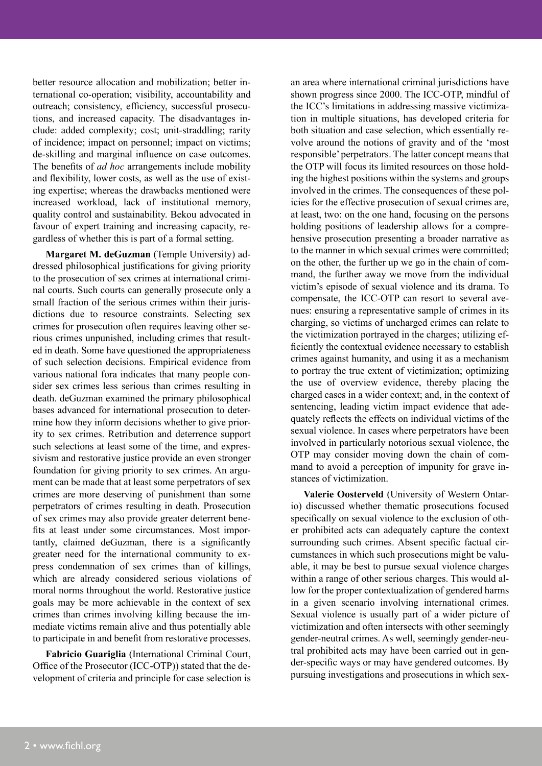better resource allocation and mobilization; better international co-operation; visibility, accountability and outreach; consistency, efficiency, successful prosecutions, and increased capacity. The disadvantages include: added complexity; cost; unit-straddling; rarity of incidence; impact on personnel; impact on victims; de-skilling and marginal influence on case outcomes. The benefits of *ad hoc* arrangements include mobility and flexibility, lower costs, as well as the use of existing expertise; whereas the drawbacks mentioned were increased workload, lack of institutional memory, quality control and sustainability. Bekou advocated in favour of expert training and increasing capacity, regardless of whether this is part of a formal setting.

**Margaret M. deGuzman** (Temple University) addressed philosophical justifications for giving priority to the prosecution of sex crimes at international criminal courts. Such courts can generally prosecute only a small fraction of the serious crimes within their jurisdictions due to resource constraints. Selecting sex crimes for prosecution often requires leaving other serious crimes unpunished, including crimes that resulted in death. Some have questioned the appropriateness of such selection decisions. Empirical evidence from various national fora indicates that many people consider sex crimes less serious than crimes resulting in death. deGuzman examined the primary philosophical bases advanced for international prosecution to determine how they inform decisions whether to give priority to sex crimes. Retribution and deterrence support such selections at least some of the time, and expressivism and restorative justice provide an even stronger foundation for giving priority to sex crimes. An argument can be made that at least some perpetrators of sex crimes are more deserving of punishment than some perpetrators of crimes resulting in death. Prosecution of sex crimes may also provide greater deterrent benefits at least under some circumstances. Most importantly, claimed deGuzman, there is a significantly greater need for the international community to express condemnation of sex crimes than of killings, which are already considered serious violations of moral norms throughout the world. Restorative justice goals may be more achievable in the context of sex crimes than crimes involving killing because the immediate victims remain alive and thus potentially able to participate in and benefit from restorative processes.

**Fabricio Guariglia** (International Criminal Court, Office of the Prosecutor (ICC-OTP)) stated that the development of criteria and principle for case selection is an area where international criminal jurisdictions have shown progress since 2000. The ICC-OTP, mindful of the ICC's limitations in addressing massive victimization in multiple situations, has developed criteria for both situation and case selection, which essentially revolve around the notions of gravity and of the 'most responsible' perpetrators. The latter concept means that the OTP will focus its limited resources on those holding the highest positions within the systems and groups involved in the crimes. The consequences of these policies for the effective prosecution of sexual crimes are, at least, two: on the one hand, focusing on the persons holding positions of leadership allows for a comprehensive prosecution presenting a broader narrative as to the manner in which sexual crimes were committed; on the other, the further up we go in the chain of command, the further away we move from the individual victim's episode of sexual violence and its drama. To compensate, the ICC-OTP can resort to several avenues: ensuring a representative sample of crimes in its charging, so victims of uncharged crimes can relate to the victimization portrayed in the charges; utilizing efficiently the contextual evidence necessary to establish crimes against humanity, and using it as a mechanism to portray the true extent of victimization; optimizing the use of overview evidence, thereby placing the charged cases in a wider context; and, in the context of sentencing, leading victim impact evidence that adequately reflects the effects on individual victims of the sexual violence. In cases where perpetrators have been involved in particularly notorious sexual violence, the OTP may consider moving down the chain of command to avoid a perception of impunity for grave instances of victimization.

**Valerie Oosterveld** (University of Western Ontario) discussed whether thematic prosecutions focused specifically on sexual violence to the exclusion of other prohibited acts can adequately capture the context surrounding such crimes. Absent specific factual circumstances in which such prosecutions might be valuable, it may be best to pursue sexual violence charges within a range of other serious charges. This would allow for the proper contextualization of gendered harms in a given scenario involving international crimes. Sexual violence is usually part of a wider picture of victimization and often intersects with other seemingly gender-neutral crimes. As well, seemingly gender-neutral prohibited acts may have been carried out in gender-specific ways or may have gendered outcomes. By pursuing investigations and prosecutions in which sex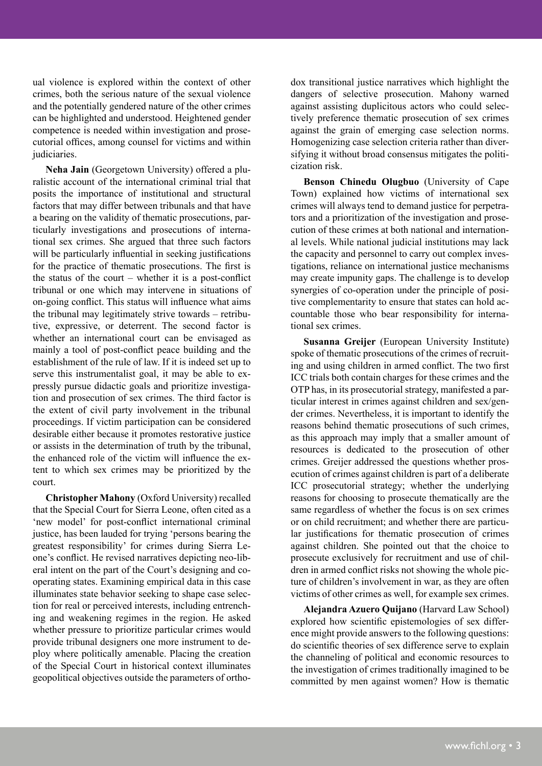ual violence is explored within the context of other crimes, both the serious nature of the sexual violence and the potentially gendered nature of the other crimes can be highlighted and understood. Heightened gender competence is needed within investigation and prosecutorial offices, among counsel for victims and within judiciaries.

**Neha Jain** (Georgetown University) offered a pluralistic account of the international criminal trial that posits the importance of institutional and structural factors that may differ between tribunals and that have a bearing on the validity of thematic prosecutions, particularly investigations and prosecutions of international sex crimes. She argued that three such factors will be particularly influential in seeking justifications for the practice of thematic prosecutions. The first is the status of the court – whether it is a post-conflict tribunal or one which may intervene in situations of on-going conflict. This status will influence what aims the tribunal may legitimately strive towards – retributive, expressive, or deterrent. The second factor is whether an international court can be envisaged as mainly a tool of post-conflict peace building and the establishment of the rule of law. If it is indeed set up to serve this instrumentalist goal, it may be able to expressly pursue didactic goals and prioritize investigation and prosecution of sex crimes. The third factor is the extent of civil party involvement in the tribunal proceedings. If victim participation can be considered desirable either because it promotes restorative justice or assists in the determination of truth by the tribunal, the enhanced role of the victim will influence the extent to which sex crimes may be prioritized by the court.

**Christopher Mahony** (Oxford University) recalled that the Special Court for Sierra Leone, often cited as a 'new model' for post-conflict international criminal justice, has been lauded for trying 'persons bearing the greatest responsibility' for crimes during Sierra Leone's conflict. He revised narratives depicting neo-liberal intent on the part of the Court's designing and cooperating states. Examining empirical data in this case illuminates state behavior seeking to shape case selection for real or perceived interests, including entrenching and weakening regimes in the region. He asked whether pressure to prioritize particular crimes would provide tribunal designers one more instrument to deploy where politically amenable. Placing the creation of the Special Court in historical context illuminates geopolitical objectives outside the parameters of orthodox transitional justice narratives which highlight the dangers of selective prosecution. Mahony warned against assisting duplicitous actors who could selectively preference thematic prosecution of sex crimes against the grain of emerging case selection norms. Homogenizing case selection criteria rather than diversifying it without broad consensus mitigates the politicization risk.

**Benson Chinedu Olugbuo** (University of Cape Town) explained how victims of international sex crimes will always tend to demand justice for perpetrators and a prioritization of the investigation and prosecution of these crimes at both national and international levels. While national judicial institutions may lack the capacity and personnel to carry out complex investigations, reliance on international justice mechanisms may create impunity gaps. The challenge is to develop synergies of co-operation under the principle of positive complementarity to ensure that states can hold accountable those who bear responsibility for international sex crimes.

**Susanna Greijer** (European University Institute) spoke of thematic prosecutions of the crimes of recruiting and using children in armed conflict. The two first ICC trials both contain charges for these crimes and the OTP has, in its prosecutorial strategy, manifested a particular interest in crimes against children and sex/gender crimes. Nevertheless, it is important to identify the reasons behind thematic prosecutions of such crimes, as this approach may imply that a smaller amount of resources is dedicated to the prosecution of other crimes. Greijer addressed the questions whether prosecution of crimes against children is part of a deliberate ICC prosecutorial strategy; whether the underlying reasons for choosing to prosecute thematically are the same regardless of whether the focus is on sex crimes or on child recruitment; and whether there are particular justifications for thematic prosecution of crimes against children. She pointed out that the choice to prosecute exclusively for recruitment and use of children in armed conflict risks not showing the whole picture of children's involvement in war, as they are often victims of other crimes as well, for example sex crimes.

**Alejandra Azuero Quijano** (Harvard Law School) explored how scientific epistemologies of sex difference might provide answers to the following questions: do scientific theories of sex difference serve to explain the channeling of political and economic resources to the investigation of crimes traditionally imagined to be committed by men against women? How is thematic